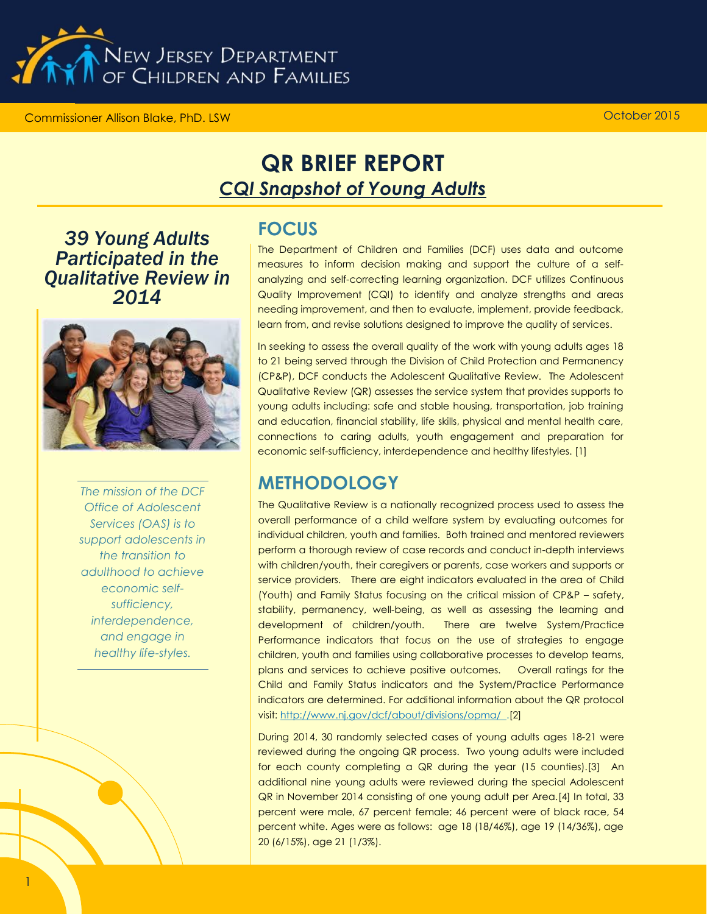

Commissioner Allison Blake, PhD. LSW

# **QR BRIEF REPORT** *CQI Snapshot of Young Adults*

*39 Young Adults Participated in the Qualitative Review in 2014*



*The mission of the DCF Office of Adolescent Services (OAS) is to support adolescents in the transition to adulthood to achieve economic selfsufficiency, interdependence, and engage in healthy life-styles.*

### **FOCUS**

The Department of Children and Families (DCF) uses data and outcome measures to inform decision making and support the culture of a selfanalyzing and self-correcting learning organization. DCF utilizes Continuous Quality Improvement (CQI) to identify and analyze strengths and areas needing improvement, and then to evaluate, implement, provide feedback, learn from, and revise solutions designed to improve the quality of services.

In seeking to assess the overall quality of the work with young adults ages 18 to 21 being served through the Division of Child Protection and Permanency (CP&P), DCF conducts the Adolescent Qualitative Review. The Adolescent Qualitative Review (QR) assesses the service system that provides supports to young adults including: safe and stable housing, transportation, job training and education, financial stability, life skills, physical and mental health care, connections to caring adults, youth engagement and preparation for economic self-sufficiency, interdependence and healthy lifestyles. [1]

# **METHODOLOGY**

The Qualitative Review is a nationally recognized process used to assess the overall performance of a child welfare system by evaluating outcomes for individual children, youth and families. Both trained and mentored reviewers perform a thorough review of case records and conduct in-depth interviews with children/youth, their caregivers or parents, case workers and supports or service providers. There are eight indicators evaluated in the area of Child (Youth) and Family Status focusing on the critical mission of CP&P – safety, stability, permanency, well-being, as well as assessing the learning and development of children/youth. There are twelve System/Practice Performance indicators that focus on the use of strategies to engage children, youth and families using collaborative processes to develop teams, plans and services to achieve positive outcomes. Overall ratings for the Child and Family Status indicators and the System/Practice Performance indicators are determined. For additional information about the QR protocol visit[: http://www.nj.gov/dcf/about/divisions/opma/](http://www.nj.gov/dcf/about/divisions/opma/) .[2]

During 2014, 30 randomly selected cases of young adults ages 18-21 were reviewed during the ongoing QR process. Two young adults were included for each county completing a QR during the year (15 counties).[3] An additional nine young adults were reviewed during the special Adolescent QR in November 2014 consisting of one young adult per Area.[4] In total, 33 percent were male, 67 percent female; 46 percent were of black race, 54 percent white. Ages were as follows: age 18 (18/46%), age 19 (14/36%), age 20 (6/15%), age 21 (1/3%).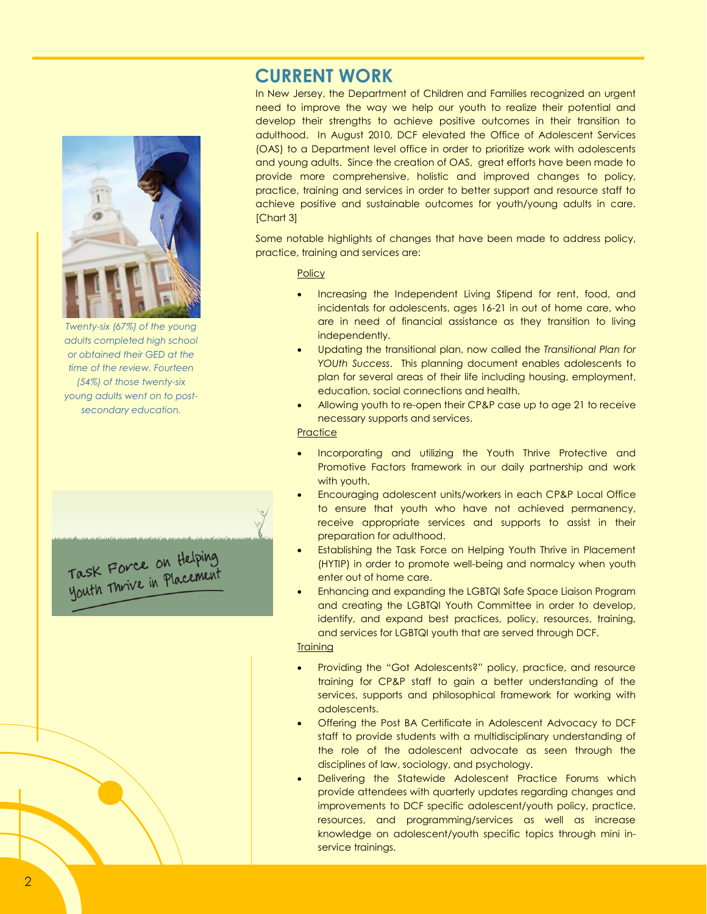*Twenty-six (67%) of the young adults completed high school or obtained their GED at the time of the review. Fourteen (54%) of those twenty-six young adults went on to postsecondary education.*

Task Force on Helping<br>youth Thrive in Placement

# **CURRENT WORK**

In New Jersey, the Department of Children and Families recognized an urgent need to improve the way we help our youth to realize their potential and develop their strengths to achieve positive outcomes in their transition to adulthood. In August 2010, DCF elevated the Office of Adolescent Services (OAS) to a Department level office in order to prioritize work with adolescents and young adults. Since the creation of OAS, great efforts have been made to provide more comprehensive, holistic and improved changes to policy, practice, training and services in order to better support and resource staff to achieve positive and sustainable outcomes for youth/young adults in care. [Chart 3]

Some notable highlights of changes that have been made to address policy, practice, training and services are:

### **Policy**

- Increasing the Independent Living Stipend for rent, food, and incidentals for adolescents, ages 16-21 in out of home care, who are in need of financial assistance as they transition to living independently.
- Updating the transitional plan, now called the *Transitional Plan for YOUth Success*. This planning document enables adolescents to plan for several areas of their life including housing, employment, education, social connections and health.
- Allowing youth to re-open their CP&P case up to age 21 to receive necessary supports and services.

### **Practice**

- Incorporating and utilizing the Youth Thrive Protective and Promotive Factors framework in our daily partnership and work with youth.
- Encouraging adolescent units/workers in each CP&P Local Office to ensure that youth who have not achieved permanency, receive appropriate services and supports to assist in their preparation for adulthood.
- Establishing the Task Force on Helping Youth Thrive in Placement (HYTIP) in order to promote well-being and normalcy when youth enter out of home care.
- Enhancing and expanding the LGBTQI Safe Space Liaison Program and creating the LGBTQI Youth Committee in order to develop, identify, and expand best practices, policy, resources, training, and services for LGBTQI youth that are served through DCF.

### **Training**

- Providing the "Got Adolescents?" policy, practice, and resource training for CP&P staff to gain a better understanding of the services, supports and philosophical framework for working with adolescents.
- Offering the Post BA Certificate in Adolescent Advocacy to DCF staff to provide students with a multidisciplinary understanding of the role of the adolescent advocate as seen through the disciplines of law, sociology, and psychology.
- Delivering the Statewide Adolescent Practice Forums which provide attendees with quarterly updates regarding changes and improvements to DCF specific adolescent/youth policy, practice, resources, and programming/services as well as increase knowledge on adolescent/youth specific topics through mini inservice trainings.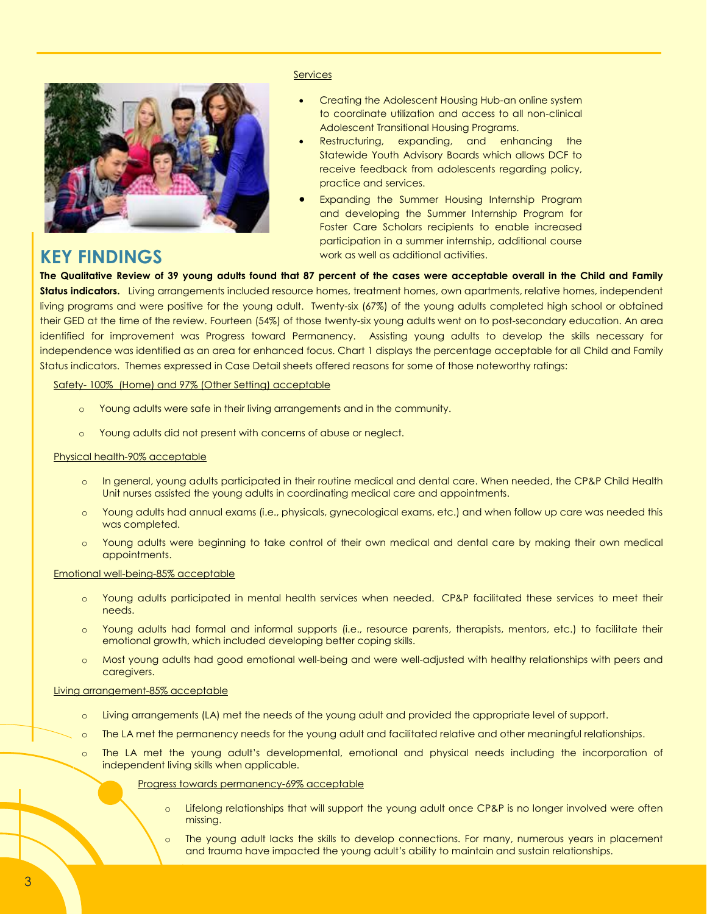

# **KEY FINDINGS**

### **Services**

- Creating the Adolescent Housing Hub-an online system to coordinate utilization and access to all non-clinical Adolescent Transitional Housing Programs.
- Restructuring, expanding, and enhancing the Statewide Youth Advisory Boards which allows DCF to receive feedback from adolescents regarding policy, practice and services.
- Expanding the Summer Housing Internship Program and developing the Summer Internship Program for Foster Care Scholars recipients to enable increased participation in a summer internship, additional course work as well as additional activities.

**The Qualitative Review of 39 young adults found that 87 percent of the cases were acceptable overall in the Child and Family**  Status indicators. Living arrangements included resource homes, treatment homes, own apartments, relative homes, independent living programs and were positive for the young adult. Twenty-six (67%) of the young adults completed high school or obtained their GED at the time of the review. Fourteen (54%) of those twenty-six young adults went on to post-secondary education. An area identified for improvement was Progress toward Permanency. Assisting young adults to develop the skills necessary for independence was identified as an area for enhanced focus. Chart 1 displays the percentage acceptable for all Child and Family Status indicators. Themes expressed in Case Detail sheets offered reasons for some of those noteworthy ratings:

Ï Safety- 100% (Home) and 97% (Other Setting) acceptable

- o Young adults were safe in their living arrangements and in the community.
- Young adults did not present with concerns of abuse or neglect.

### Physical health-90% acceptable

- o In general, young adults participated in their routine medical and dental care. When needed, the CP&P Child Health Unit nurses assisted the young adults in coordinating medical care and appointments.
- o Young adults had annual exams (i.e., physicals, gynecological exams, etc.) and when follow up care was needed this was completed.
- o Young adults were beginning to take control of their own medical and dental care by making their own medical appointments.

### Emotional well-being-85% acceptable

- o Young adults participated in mental health services when needed. CP&P facilitated these services to meet their needs.
- o Young adults had formal and informal supports (i.e., resource parents, therapists, mentors, etc.) to facilitate their emotional growth, which included developing better coping skills.
- o Most young adults had good emotional well-being and were well-adjusted with healthy relationships with peers and caregivers.

### Living arrangement-85% acceptable

- o Living arrangements (LA) met the needs of the young adult and provided the appropriate level of support.
- o The LA met the permanency needs for the young adult and facilitated relative and other meaningful relationships.
- o The LA met the young adult's developmental, emotional and physical needs including the incorporation of independent living skills when applicable.

### Progress towards permanency-69% acceptable

- o Lifelong relationships that will support the young adult once CP&P is no longer involved were often missing.
- o The young adult lacks the skills to develop connections. For many, numerous years in placement and trauma have impacted the young adult's ability to maintain and sustain relationships.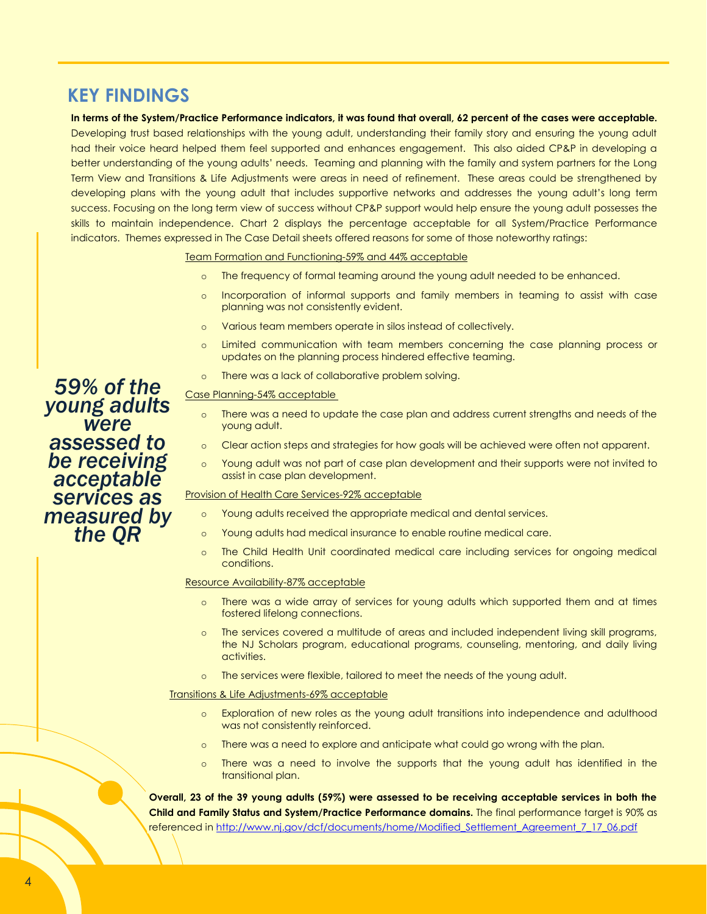### **KEY FINDINGS**

**In terms of the System/Practice Performance indicators, it was found that overall, 62 percent of the cases were acceptable.** Developing trust based relationships with the young adult, understanding their family story and ensuring the young adult had their voice heard helped them feel supported and enhances engagement. This also aided CP&P in developing a better understanding of the young adults' needs. Teaming and planning with the family and system partners for the Long Term View and Transitions & Life Adjustments were areas in need of refinement. These areas could be strengthened by developing plans with the young adult that includes supportive networks and addresses the young adult's long term success. Focusing on the long term view of success without CP&P support would help ensure the young adult possesses the skills to maintain independence. Chart 2 displays the percentage acceptable for all System/Practice Performance indicators. Themes expressed in The Case Detail sheets offered reasons for some of those noteworthy ratings:

Team Formation and Functioning-59% and 44% acceptable

- The frequency of formal teaming around the young adult needed to be enhanced.
- o Incorporation of informal supports and family members in teaming to assist with case planning was not consistently evident.
- o Various team members operate in silos instead of collectively.
- o Limited communication with team members concerning the case planning process or updates on the planning process hindered effective teaming.
- o There was a lack of collaborative problem solving.

### Case Planning-54% acceptable

- o There was a need to update the case plan and address current strengths and needs of the young adult.
- o Clear action steps and strategies for how goals will be achieved were often not apparent.
- o Young adult was not part of case plan development and their supports were not invited to assist in case plan development.

### Provision of Health Care Services-92% acceptable

- o Young adults received the appropriate medical and dental services.
- o Young adults had medical insurance to enable routine medical care.
- o The Child Health Unit coordinated medical care including services for ongoing medical conditions.

#### Resource Availability-87% acceptable

- o There was a wide array of services for young adults which supported them and at times fostered lifelong connections.
- The services covered a multitude of areas and included independent living skill programs, the NJ Scholars program, educational programs, counseling, mentoring, and daily living activities.
- o The services were flexible, tailored to meet the needs of the young adult.

#### Transitions & Life Adjustments-69% acceptable

- o Exploration of new roles as the young adult transitions into independence and adulthood was not consistently reinforced.
- o There was a need to explore and anticipate what could go wrong with the plan.
- o There was a need to involve the supports that the young adult has identified in the transitional plan.

**Overall, 23 of the 39 young adults (59%) were assessed to be receiving acceptable services in both the Child and Family Status and System/Practice Performance domains.** The final performance target is 90% as referenced in [http://www.nj.gov/dcf/documents/home/Modified\\_Settlement\\_Agreement\\_7\\_17\\_06.pdf](http://www.nj.gov/dcf/documents/home/Modified_Settlement_Agreement_7_17_06.pdf)

*59% of the young adults were assessed to be receiving acceptable services as measured by the QR*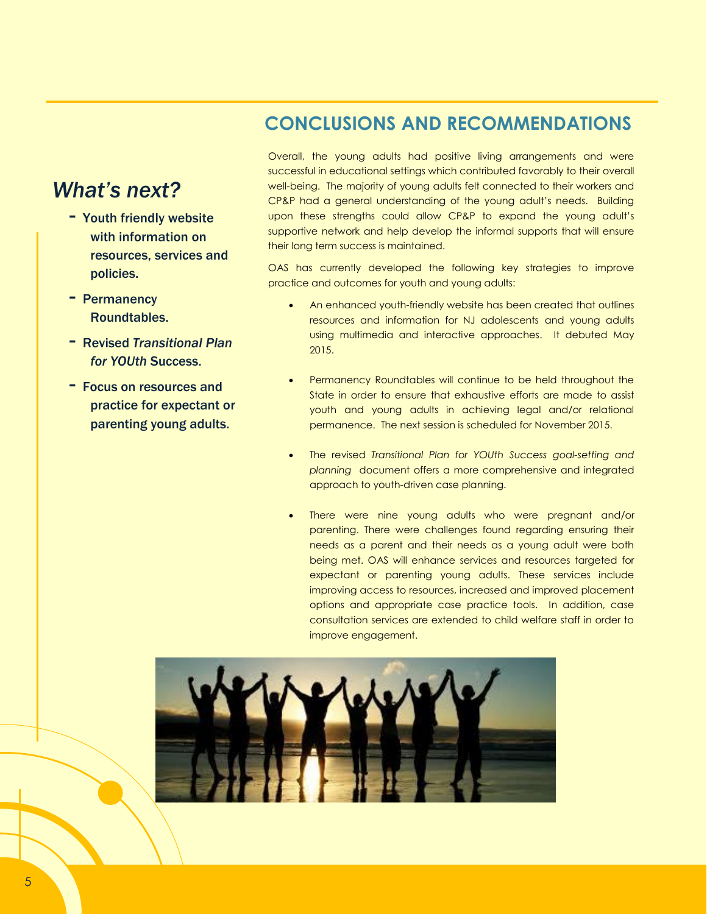# **CONCLUSIONS AND RECOMMENDATIONS**

# *What's next?*

- Youth friendly website with information on resources, services and policies.
- Permanency Roundtables.
- Revised *Transitional Plan for YOUth* Success.
- Focus on resources and practice for expectant or parenting young adults.

Overall, the young adults had positive living arrangements and were successful in educational settings which contributed favorably to their overall well-being. The majority of young adults felt connected to their workers and CP&P had a general understanding of the young adult's needs. Building upon these strengths could allow CP&P to expand the young adult's supportive network and help develop the informal supports that will ensure their long term success is maintained.

OAS has currently developed the following key strategies to improve practice and outcomes for youth and young adults:

- An enhanced youth-friendly website has been created that outlines resources and information for NJ adolescents and young adults using multimedia and interactive approaches. It debuted May 2015.
- Permanency Roundtables will continue to be held throughout the State in order to ensure that exhaustive efforts are made to assist youth and young adults in achieving legal and/or relational permanence. The next session is scheduled for November 2015.
- The revised *Transitional Plan for YOUth Success goal-setting and planning* document offers a more comprehensive and integrated approach to youth-driven case planning.
- There were nine young adults who were pregnant and/or parenting. There were challenges found regarding ensuring their needs as a parent and their needs as a young adult were both being met. OAS will enhance services and resources targeted for expectant or parenting young adults. These services include improving access to resources, increased and improved placement options and appropriate case practice tools. In addition, case consultation services are extended to child welfare staff in order to improve engagement.

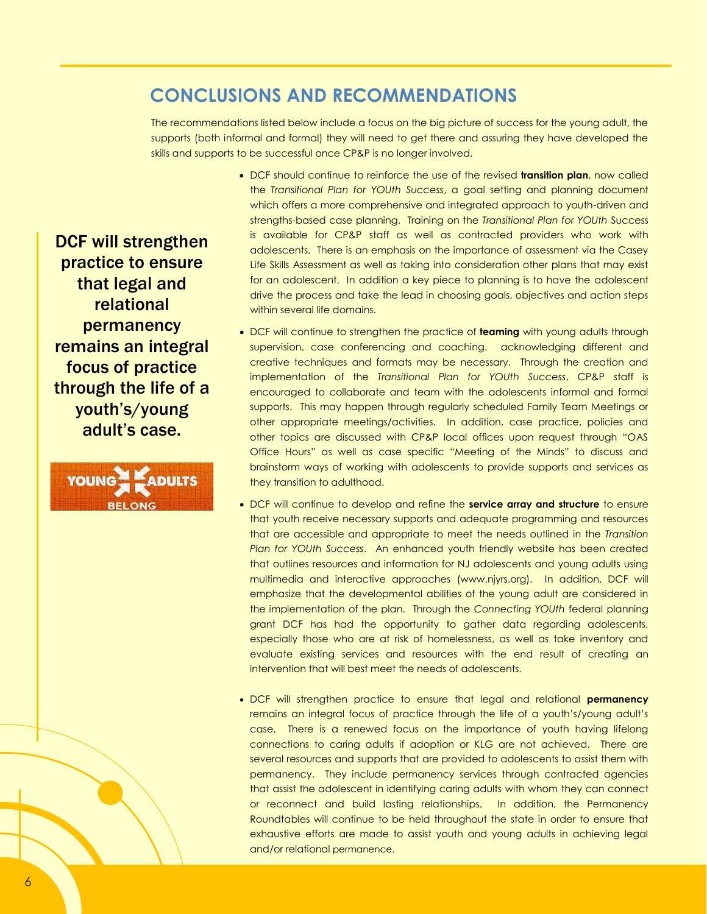# **CONCLUSIONS AND RECOMMENDATIONS**

 The recommendations listed below include a focus on the big picture of success for the young adult, the supports (both informal and formal) they will need to get there and assuring they have developed the skills and supports to be successful once CP&P is no longer involved.

DCF will strengthen practice to ensure that legal and relational permanency remains an integral focus of practice through the life of a youth's/young adult's case.



- DCF should continue to reinforce the use of the revised **transition plan**, now called the *Transitional Plan for YOUth Success*, a goal setting and planning document which offers a more comprehensive and integrated approach to youth-driven and strengths-based case planning. Training on the *Transitional Plan for YOUth* Success is available for CP&P staff as well as contracted providers who work with adolescents. There is an emphasis on the importance of assessment via the Casey Life Skills Assessment as well as taking into consideration other plans that may exist for an adolescent. In addition a key piece to planning is to have the adolescent drive the process and take the lead in choosing goals, objectives and action steps within several life domains.
- DCF will continue to strengthen the practice of **teaming** with young adults through supervision, case conferencing and coaching. acknowledging different and creative techniques and formats may be necessary. Through the creation and implementation of the *Transitional Plan for YOUth Success*, CP&P staff is encouraged to collaborate and team with the adolescents informal and formal supports. This may happen through regularly scheduled Family Team Meetings or other appropriate meetings/activities. In addition, case practice, policies and other topics are discussed with CP&P local offices upon request through "OAS Office Hours" as well as case specific "Meeting of the Minds" to discuss and brainstorm ways of working with adolescents to provide supports and services as they transition to adulthood.
- DCF will continue to develop and refine the **service array and structure** to ensure that youth receive necessary supports and adequate programming and resources that are accessible and appropriate to meet the needs outlined in the *Transition Plan for YOUth Success*. An enhanced youth friendly website has been created that outlines resources and information for NJ adolescents and young adults using multimedia and interactive approaches (www.njyrs.org). In addition, DCF will emphasize that the developmental abilities of the young adult are considered in the implementation of the plan. Through the *Connecting YOUth* federal planning grant DCF has had the opportunity to gather data regarding adolescents, especially those who are at risk of homelessness, as well as take inventory and evaluate existing services and resources with the end result of creating an intervention that will best meet the needs of adolescents.
- DCF will strengthen practice to ensure that legal and relational **permanency** remains an integral focus of practice through the life of a youth's/young adult's case. There is a renewed focus on the importance of youth having lifelong connections to caring adults if adoption or KLG are not achieved. There are several resources and supports that are provided to adolescents to assist them with permanency. They include permanency services through contracted agencies that assist the adolescent in identifying caring adults with whom they can connect or reconnect and build lasting relationships. In addition, the Permanency Roundtables will continue to be held throughout the state in order to ensure that exhaustive efforts are made to assist youth and young adults in achieving legal and/or relational permanence.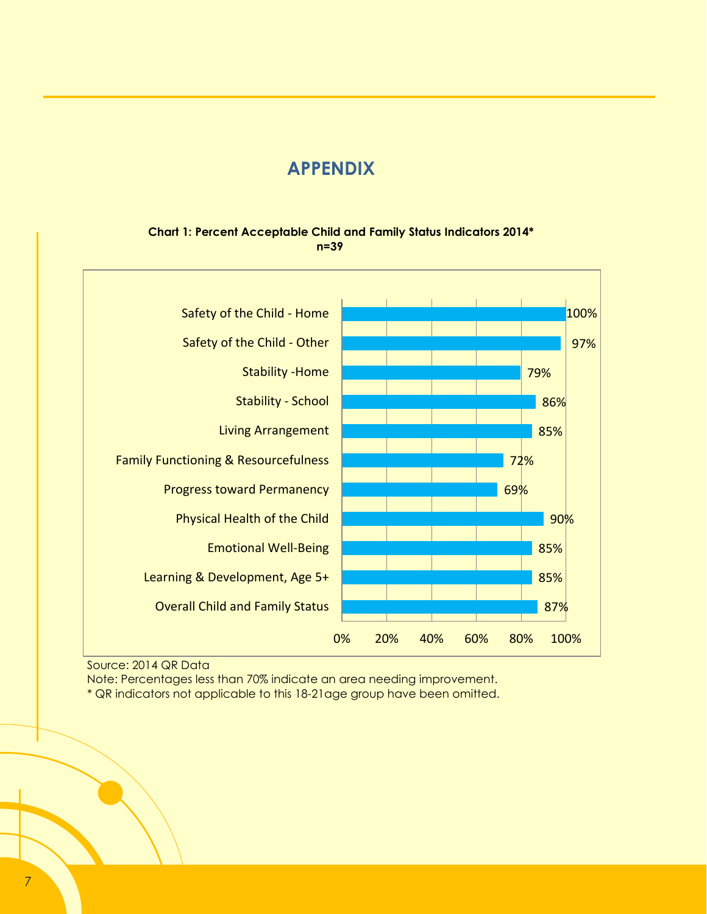## **APPENDIX**

### **Chart 1: Percent Acceptable Child and Family Status Indicators 2014\* n=39**



Source: 2014 QR Data

Note: Percentages less than 70% indicate an area needing improvement.

\* QR indicators not applicable to this 18-21age group have been omitted.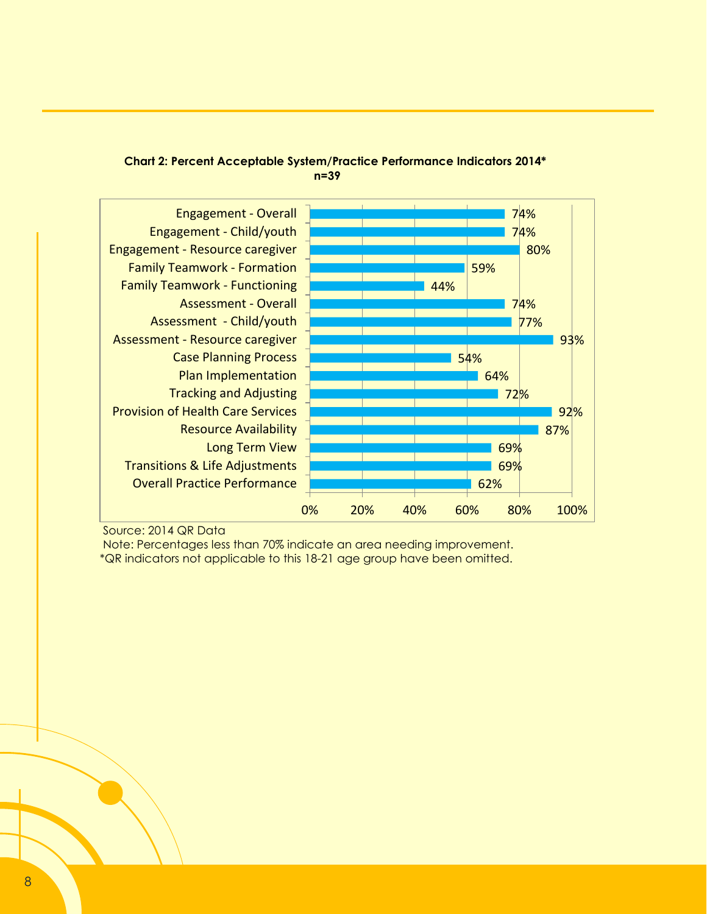### **Chart 2: Percent Acceptable System/Practice Performance Indicators 2014\* n=39**



Source: 2014 QR Data

 Note: Percentages less than 70% indicate an area needing improvement. \*QR indicators not applicable to this 18-21 age group have been omitted.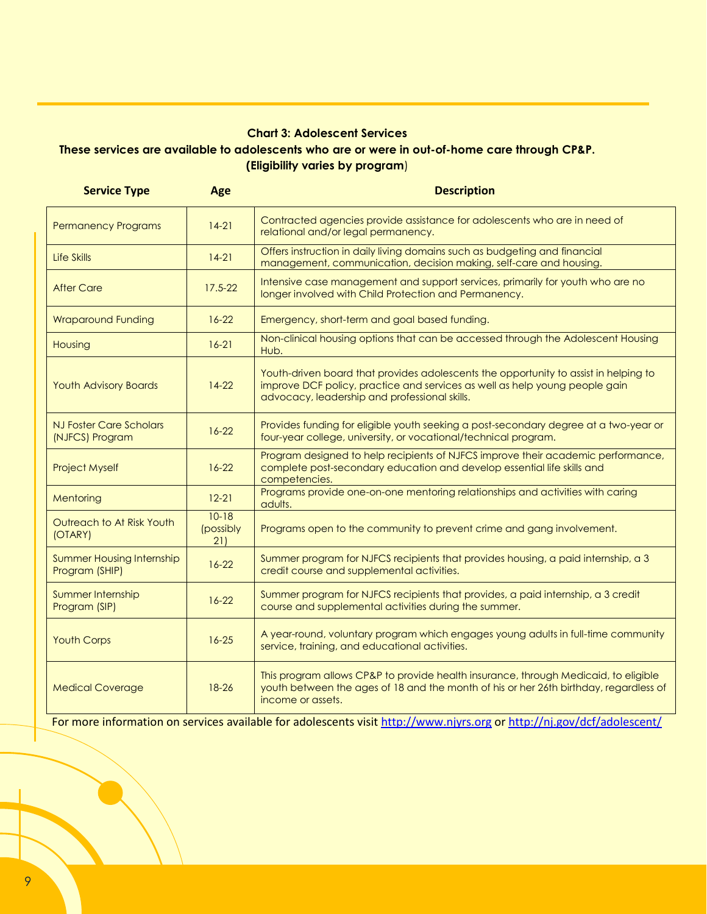### **Chart 3: Adolescent Services These services are available to adolescents who are or were in out-of-home care through CP&P. (Eligibility varies by program**)

| <b>Service Type</b>                                | Age                           | <b>Description</b>                                                                                                                                                                                                   |
|----------------------------------------------------|-------------------------------|----------------------------------------------------------------------------------------------------------------------------------------------------------------------------------------------------------------------|
| <b>Permanency Programs</b>                         | $14-21$                       | Contracted agencies provide assistance for adolescents who are in need of<br>relational and/or legal permanency.                                                                                                     |
| Life Skills                                        | $14-21$                       | Offers instruction in daily living domains such as budgeting and financial<br>management, communication, decision making, self-care and housing.                                                                     |
| <b>After Care</b>                                  | $17.5 - 22$                   | Intensive case management and support services, primarily for youth who are no<br>longer involved with Child Protection and Permanency.                                                                              |
| <b>Wraparound Funding</b>                          | $16-22$                       | Emergency, short-term and goal based funding.                                                                                                                                                                        |
| Housing                                            | $16-21$                       | Non-clinical housing options that can be accessed through the Adolescent Housing<br>Hub.                                                                                                                             |
| <b>Youth Advisory Boards</b>                       | $14-22$                       | Youth-driven board that provides adolescents the opportunity to assist in helping to<br>improve DCF policy, practice and services as well as help young people gain<br>advocacy, leadership and professional skills. |
| NJ Foster Care Scholars<br>(NJFCS) Program         | $16-22$                       | Provides funding for eligible youth seeking a post-secondary degree at a two-year or<br>four-year college, university, or vocational/technical program.                                                              |
| <b>Project Myself</b>                              | $16-22$                       | Program designed to help recipients of NJFCS improve their academic performance,<br>complete post-secondary education and develop essential life skills and<br>competencies.                                         |
| Mentoring                                          | $12 - 21$                     | Programs provide one-on-one mentoring relationships and activities with caring<br>adults.                                                                                                                            |
| Outreach to At Risk Youth<br>(OTARY)               | $10 - 18$<br>(possibly<br>21) | Programs open to the community to prevent crime and gang involvement.                                                                                                                                                |
| <b>Summer Housing Internship</b><br>Program (SHIP) | $16 - 22$                     | Summer program for NJFCS recipients that provides housing, a paid internship, a 3<br>credit course and supplemental activities.                                                                                      |
| Summer Internship<br>Program (SIP)                 | $16-22$                       | Summer program for NJFCS recipients that provides, a paid internship, a 3 credit<br>course and supplemental activities during the summer.                                                                            |
| <b>Youth Corps</b>                                 | $16 - 25$                     | A year-round, voluntary program which engages young adults in full-time community<br>service, training, and educational activities.                                                                                  |
| <b>Medical Coverage</b>                            | $18 - 26$                     | This program allows CP&P to provide health insurance, through Medicaid, to eligible<br>youth between the ages of 18 and the month of his or her 26th birthday, regardless of<br>income or assets.                    |

For more information on services available for adolescents visit [http://www.njyrs.org](http://www.njyrs.org/) o[r http://nj.gov/dcf/adolescent/](http://nj.gov/dcf/adolescent/)